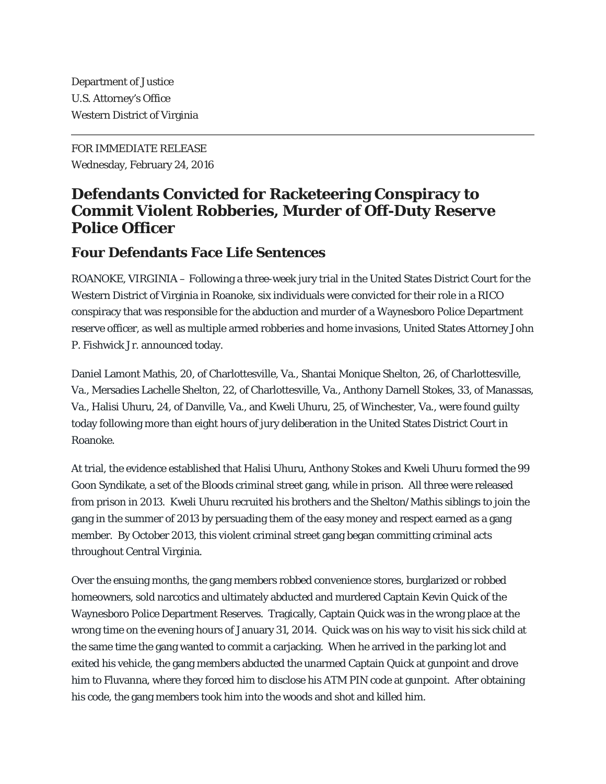Department of Justice U.S. Attorney's Office Western District of Virginia

FOR IMMEDIATE RELEASE Wednesday, February 24, 2016

## **Defendants Convicted for Racketeering Conspiracy to Commit Violent Robberies, Murder of Off-Duty Reserve Police Officer**

## **Four Defendants Face Life Sentences**

ROANOKE, VIRGINIA – Following a three-week jury trial in the United States District Court for the Western District of Virginia in Roanoke, six individuals were convicted for their role in a RICO conspiracy that was responsible for the abduction and murder of a Waynesboro Police Department reserve officer, as well as multiple armed robberies and home invasions, United States Attorney John P. Fishwick Jr. announced today.

Daniel Lamont Mathis, 20, of Charlottesville, Va., Shantai Monique Shelton, 26, of Charlottesville, Va., Mersadies Lachelle Shelton, 22, of Charlottesville, Va., Anthony Darnell Stokes, 33, of Manassas, Va., Halisi Uhuru, 24, of Danville, Va., and Kweli Uhuru, 25, of Winchester, Va., were found guilty today following more than eight hours of jury deliberation in the United States District Court in Roanoke.

At trial, the evidence established that Halisi Uhuru, Anthony Stokes and Kweli Uhuru formed the 99 Goon Syndikate, a set of the Bloods criminal street gang, while in prison. All three were released from prison in 2013. Kweli Uhuru recruited his brothers and the Shelton/Mathis siblings to join the gang in the summer of 2013 by persuading them of the easy money and respect earned as a gang member. By October 2013, this violent criminal street gang began committing criminal acts throughout Central Virginia.

Over the ensuing months, the gang members robbed convenience stores, burglarized or robbed homeowners, sold narcotics and ultimately abducted and murdered Captain Kevin Quick of the Waynesboro Police Department Reserves. Tragically, Captain Quick was in the wrong place at the wrong time on the evening hours of January 31, 2014. Quick was on his way to visit his sick child at the same time the gang wanted to commit a carjacking. When he arrived in the parking lot and exited his vehicle, the gang members abducted the unarmed Captain Quick at gunpoint and drove him to Fluvanna, where they forced him to disclose his ATM PIN code at gunpoint. After obtaining his code, the gang members took him into the woods and shot and killed him.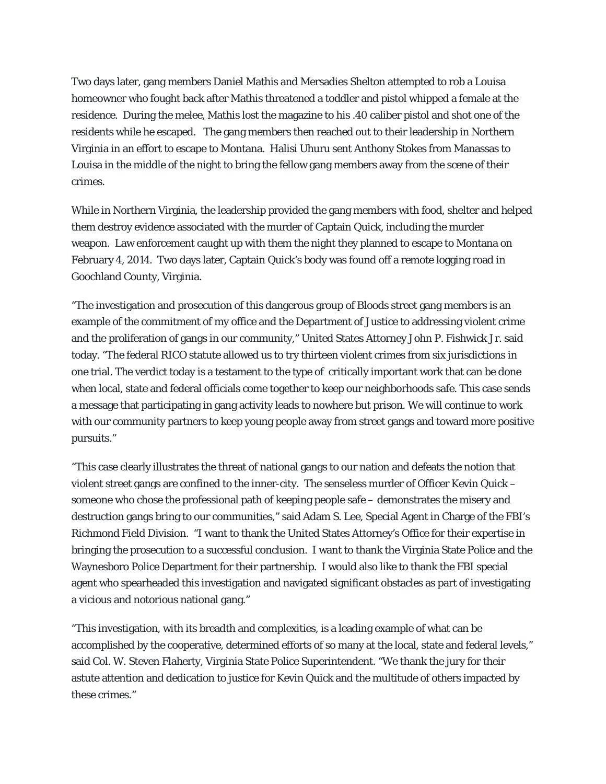Two days later, gang members Daniel Mathis and Mersadies Shelton attempted to rob a Louisa homeowner who fought back after Mathis threatened a toddler and pistol whipped a female at the residence. During the melee, Mathis lost the magazine to his .40 caliber pistol and shot one of the residents while he escaped. The gang members then reached out to their leadership in Northern Virginia in an effort to escape to Montana. Halisi Uhuru sent Anthony Stokes from Manassas to Louisa in the middle of the night to bring the fellow gang members away from the scene of their crimes.

While in Northern Virginia, the leadership provided the gang members with food, shelter and helped them destroy evidence associated with the murder of Captain Quick, including the murder weapon. Law enforcement caught up with them the night they planned to escape to Montana on February 4, 2014. Two days later, Captain Quick's body was found off a remote logging road in Goochland County, Virginia.

"The investigation and prosecution of this dangerous group of Bloods street gang members is an example of the commitment of my office and the Department of Justice to addressing violent crime and the proliferation of gangs in our community," United States Attorney John P. Fishwick Jr. said today. "The federal RICO statute allowed us to try thirteen violent crimes from six jurisdictions in one trial. The verdict today is a testament to the type of critically important work that can be done when local, state and federal officials come together to keep our neighborhoods safe. This case sends a message that participating in gang activity leads to nowhere but prison. We will continue to work with our community partners to keep young people away from street gangs and toward more positive pursuits."

"This case clearly illustrates the threat of national gangs to our nation and defeats the notion that violent street gangs are confined to the inner-city. The senseless murder of Officer Kevin Quick – someone who chose the professional path of keeping people safe – demonstrates the misery and destruction gangs bring to our communities," said Adam S. Lee, Special Agent in Charge of the FBI's Richmond Field Division. "I want to thank the United States Attorney's Office for their expertise in bringing the prosecution to a successful conclusion. I want to thank the Virginia State Police and the Waynesboro Police Department for their partnership. I would also like to thank the FBI special agent who spearheaded this investigation and navigated significant obstacles as part of investigating a vicious and notorious national gang."

"This investigation, with its breadth and complexities, is a leading example of what can be accomplished by the cooperative, determined efforts of so many at the local, state and federal levels," said Col. W. Steven Flaherty, Virginia State Police Superintendent. "We thank the jury for their astute attention and dedication to justice for Kevin Quick and the multitude of others impacted by these crimes."